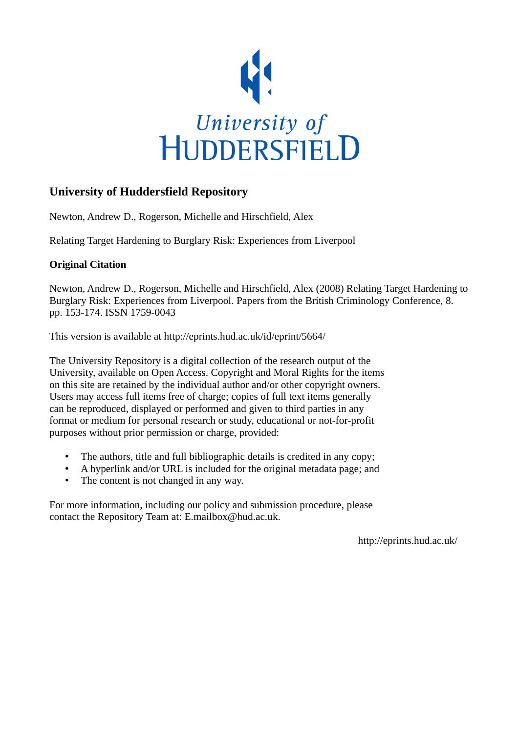

## **University of Huddersfield Repository**

Newton, Andrew D., Rogerson, Michelle and Hirschfield, Alex

Relating Target Hardening to Burglary Risk: Experiences from Liverpool

## **Original Citation**

Newton, Andrew D., Rogerson, Michelle and Hirschfield, Alex (2008) Relating Target Hardening to Burglary Risk: Experiences from Liverpool. Papers from the British Criminology Conference, 8. pp. 153-174. ISSN 1759‐0043

This version is available at http://eprints.hud.ac.uk/id/eprint/5664/

The University Repository is a digital collection of the research output of the University, available on Open Access. Copyright and Moral Rights for the items on this site are retained by the individual author and/or other copyright owners. Users may access full items free of charge; copies of full text items generally can be reproduced, displayed or performed and given to third parties in any format or medium for personal research or study, educational or not-for-profit purposes without prior permission or charge, provided:

- The authors, title and full bibliographic details is credited in any copy;
- A hyperlink and/or URL is included for the original metadata page; and
- The content is not changed in any way.

For more information, including our policy and submission procedure, please contact the Repository Team at: E.mailbox@hud.ac.uk.

http://eprints.hud.ac.uk/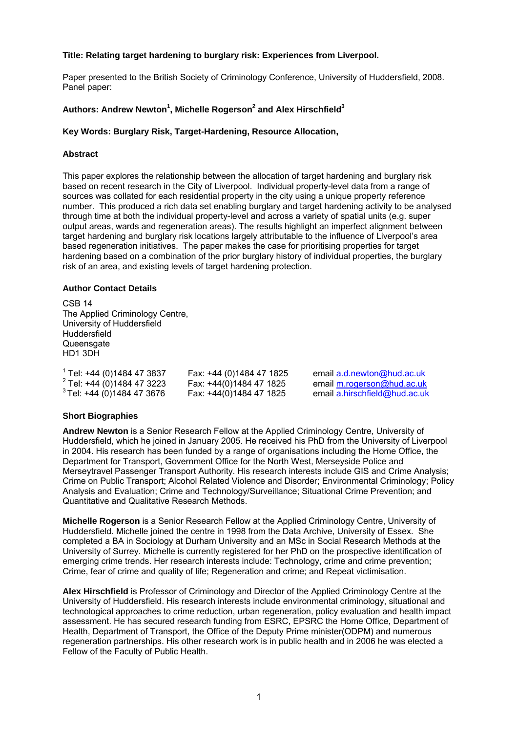## **Title: Relating target hardening to burglary risk: Experiences from Liverpool.**

Paper presented to the British Society of Criminology Conference, University of Huddersfield, 2008. Panel paper:

## **Authors: Andrew Newton<sup>1</sup> , Michelle Rogerson<sup>2</sup> and Alex Hirschfield<sup>3</sup>**

## **Key Words: Burglary Risk, Target-Hardening, Resource Allocation,**

### **Abstract**

This paper explores the relationship between the allocation of target hardening and burglary risk based on recent research in the City of Liverpool. Individual property-level data from a range of sources was collated for each residential property in the city using a unique property reference number. This produced a rich data set enabling burglary and target hardening activity to be analysed through time at both the individual property-level and across a variety of spatial units (e.g. super output areas, wards and regeneration areas). The results highlight an imperfect alignment between target hardening and burglary risk locations largely attributable to the influence of Liverpool's area based regeneration initiatives. The paper makes the case for prioritising properties for target hardening based on a combination of the prior burglary history of individual properties, the burglary risk of an area, and existing levels of target hardening protection.

#### **Author Contact Details**

CSB 14 The Applied Criminology Centre, University of Huddersfield Huddersfield **Queensgate** HD1 3DH

| Tel: +44 (0)1484 47 3837           | Fax: +44 (0)1484 47 1825 | email a.d.newton@hud.ac.uk    |
|------------------------------------|--------------------------|-------------------------------|
| $^{2}$ Tel: +44 (0)1484 47 3223    | Fax: +44(0)1484 47 1825  | email m.rogerson@hud.ac.uk    |
| $\degree$ Tel: +44 (0)1484 47 3676 | Fax: +44(0)1484 47 1825  | email a.hirschfield@hud.ac.uk |

## **Short Biographies**

**Andrew Newton** is a Senior Research Fellow at the Applied Criminology Centre, University of Huddersfield, which he joined in January 2005. He received his PhD from the University of Liverpool in 2004. His research has been funded by a range of organisations including the Home Office, the Department for Transport, Government Office for the North West, Merseyside Police and Merseytravel Passenger Transport Authority. His research interests include GIS and Crime Analysis; Crime on Public Transport; Alcohol Related Violence and Disorder; Environmental Criminology; Policy Analysis and Evaluation; Crime and Technology/Surveillance; Situational Crime Prevention; and Quantitative and Qualitative Research Methods.

**Michelle Rogerson** is a Senior Research Fellow at the Applied Criminology Centre, University of Huddersfield. Michelle joined the centre in 1998 from the Data Archive, University of Essex. She completed a BA in Sociology at Durham University and an MSc in Social Research Methods at the University of Surrey. Michelle is currently registered for her PhD on the prospective identification of emerging crime trends. Her research interests include: Technology, crime and crime prevention; Crime, fear of crime and quality of life; Regeneration and crime; and Repeat victimisation.

**Alex Hirschfield** is Professor of Criminology and Director of the Applied Criminology Centre at the University of Huddersfield. His research interests include environmental criminology, situational and technological approaches to crime reduction, urban regeneration, policy evaluation and health impact assessment. He has secured research funding from ESRC, EPSRC the Home Office, Department of Health, Department of Transport, the Office of the Deputy Prime minister(ODPM) and numerous regeneration partnerships. His other research work is in public health and in 2006 he was elected a Fellow of the Faculty of Public Health.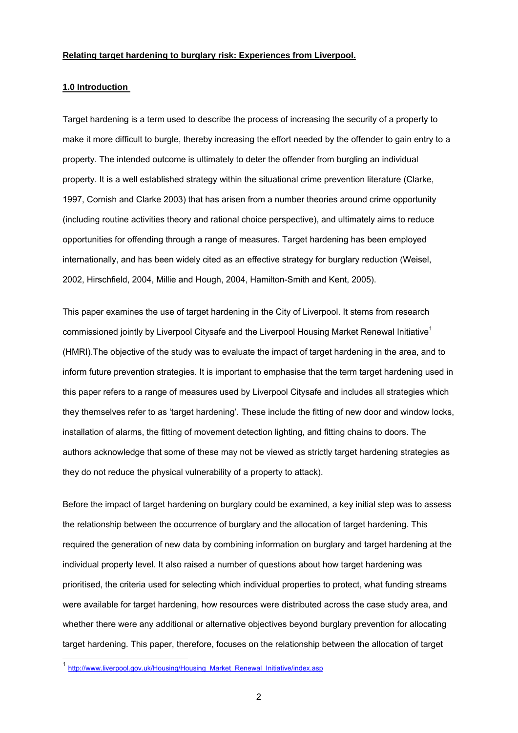### **Relating target hardening to burglary risk: Experiences from Liverpool.**

#### **1.0 Introduction**

Target hardening is a term used to describe the process of increasing the security of a property to make it more difficult to burgle, thereby increasing the effort needed by the offender to gain entry to a property. The intended outcome is ultimately to deter the offender from burgling an individual property. It is a well established strategy within the situational crime prevention literature (Clarke, 1997, Cornish and Clarke 2003) that has arisen from a number theories around crime opportunity (including routine activities theory and rational choice perspective), and ultimately aims to reduce opportunities for offending through a range of measures. Target hardening has been employed internationally, and has been widely cited as an effective strategy for burglary reduction (Weisel, 2002, Hirschfield, 2004, Millie and Hough, 2004, Hamilton-Smith and Kent, 2005).

This paper examines the use of target hardening in the City of Liverpool. It stems from research commissioned jointly by Liverpool Citysafe and the Liverpool Housing Market Renewal Initiative<sup>1</sup> (HMRI).The objective of the study was to evaluate the impact of target hardening in the area, and to inform future prevention strategies. It is important to emphasise that the term target hardening used in this paper refers to a range of measures used by Liverpool Citysafe and includes all strategies which they themselves refer to as 'target hardening'. These include the fitting of new door and window locks, installation of alarms, the fitting of movement detection lighting, and fitting chains to doors. The authors acknowledge that some of these may not be viewed as strictly target hardening strategies as they do not reduce the physical vulnerability of a property to attack).

Before the impact of target hardening on burglary could be examined, a key initial step was to assess the relationship between the occurrence of burglary and the allocation of target hardening. This required the generation of new data by combining information on burglary and target hardening at the individual property level. It also raised a number of questions about how target hardening was prioritised, the criteria used for selecting which individual properties to protect, what funding streams were available for target hardening, how resources were distributed across the case study area, and whether there were any additional or alternative objectives beyond burglary prevention for allocating target hardening. This paper, therefore, focuses on the relationship between the allocation of target

-

<sup>&</sup>lt;sup>1</sup> http://www.liverpool.gov.uk/Housing/Housing\_Market\_Renewal\_Initiative/index.asp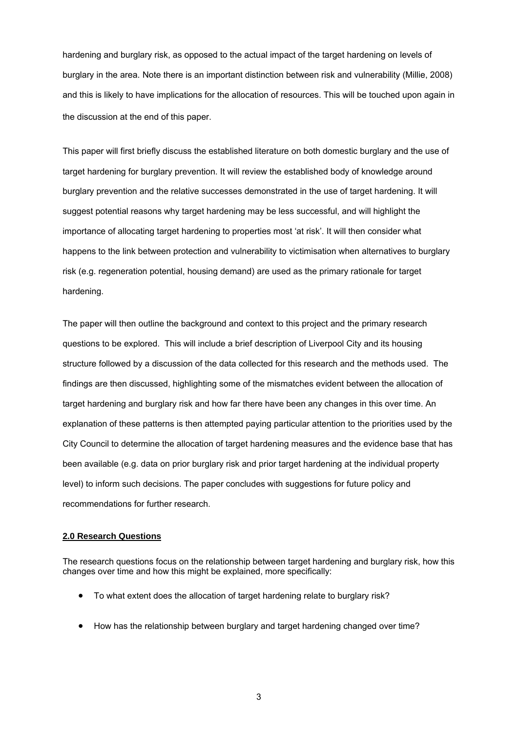hardening and burglary risk, as opposed to the actual impact of the target hardening on levels of burglary in the area. Note there is an important distinction between risk and vulnerability (Millie, 2008) and this is likely to have implications for the allocation of resources. This will be touched upon again in the discussion at the end of this paper.

This paper will first briefly discuss the established literature on both domestic burglary and the use of target hardening for burglary prevention. It will review the established body of knowledge around burglary prevention and the relative successes demonstrated in the use of target hardening. It will suggest potential reasons why target hardening may be less successful, and will highlight the importance of allocating target hardening to properties most 'at risk'. It will then consider what happens to the link between protection and vulnerability to victimisation when alternatives to burglary risk (e.g. regeneration potential, housing demand) are used as the primary rationale for target hardening.

The paper will then outline the background and context to this project and the primary research questions to be explored. This will include a brief description of Liverpool City and its housing structure followed by a discussion of the data collected for this research and the methods used. The findings are then discussed, highlighting some of the mismatches evident between the allocation of target hardening and burglary risk and how far there have been any changes in this over time. An explanation of these patterns is then attempted paying particular attention to the priorities used by the City Council to determine the allocation of target hardening measures and the evidence base that has been available (e.g. data on prior burglary risk and prior target hardening at the individual property level) to inform such decisions. The paper concludes with suggestions for future policy and recommendations for further research.

## **2.0 Research Questions**

The research questions focus on the relationship between target hardening and burglary risk, how this changes over time and how this might be explained, more specifically:

- To what extent does the allocation of target hardening relate to burglary risk?
- How has the relationship between burglary and target hardening changed over time?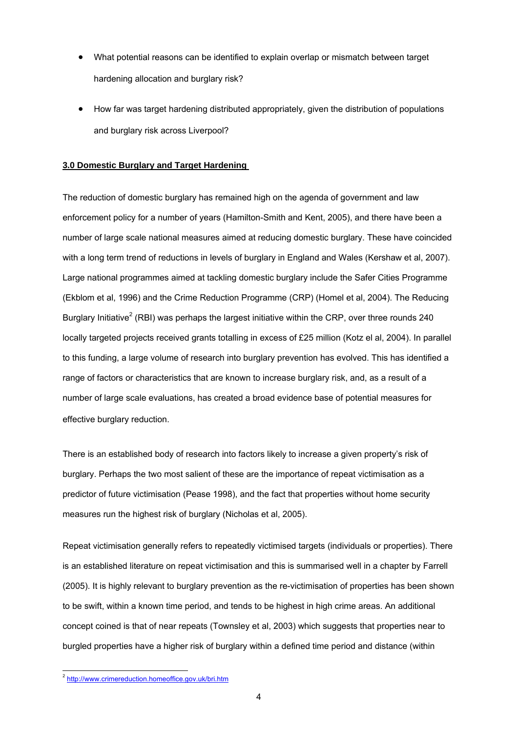- What potential reasons can be identified to explain overlap or mismatch between target hardening allocation and burglary risk?
- How far was target hardening distributed appropriately, given the distribution of populations and burglary risk across Liverpool?

### **3.0 Domestic Burglary and Target Hardening**

The reduction of domestic burglary has remained high on the agenda of government and law enforcement policy for a number of years (Hamilton-Smith and Kent, 2005), and there have been a number of large scale national measures aimed at reducing domestic burglary. These have coincided with a long term trend of reductions in levels of burglary in England and Wales (Kershaw et al, 2007). Large national programmes aimed at tackling domestic burglary include the Safer Cities Programme (Ekblom et al, 1996) and the Crime Reduction Programme (CRP) (Homel et al, 2004). The Reducing Burglary Initiative<sup>2</sup> (RBI) was perhaps the largest initiative within the CRP, over three rounds 240 locally targeted projects received grants totalling in excess of £25 million (Kotz el al, 2004). In parallel to this funding, a large volume of research into burglary prevention has evolved. This has identified a range of factors or characteristics that are known to increase burglary risk, and, as a result of a number of large scale evaluations, has created a broad evidence base of potential measures for effective burglary reduction.

There is an established body of research into factors likely to increase a given property's risk of burglary. Perhaps the two most salient of these are the importance of repeat victimisation as a predictor of future victimisation (Pease 1998), and the fact that properties without home security measures run the highest risk of burglary (Nicholas et al, 2005).

Repeat victimisation generally refers to repeatedly victimised targets (individuals or properties). There is an established literature on repeat victimisation and this is summarised well in a chapter by Farrell (2005). It is highly relevant to burglary prevention as the re-victimisation of properties has been shown to be swift, within a known time period, and tends to be highest in high crime areas. An additional concept coined is that of near repeats (Townsley et al, 2003) which suggests that properties near to burgled properties have a higher risk of burglary within a defined time period and distance (within

-

<sup>&</sup>lt;sup>2</sup> http://www.crimereduction.homeoffice.gov.uk/bri.htm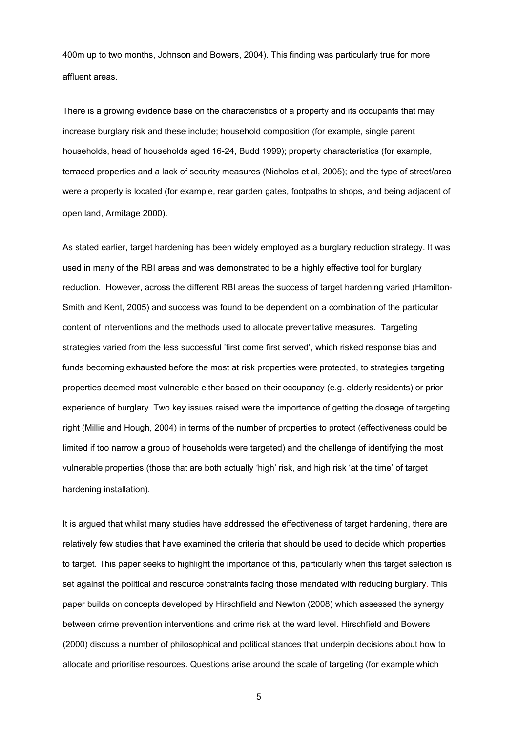400m up to two months, Johnson and Bowers, 2004). This finding was particularly true for more affluent areas.

There is a growing evidence base on the characteristics of a property and its occupants that may increase burglary risk and these include; household composition (for example, single parent households, head of households aged 16-24, Budd 1999); property characteristics (for example, terraced properties and a lack of security measures (Nicholas et al, 2005); and the type of street/area were a property is located (for example, rear garden gates, footpaths to shops, and being adjacent of open land, Armitage 2000).

As stated earlier, target hardening has been widely employed as a burglary reduction strategy. It was used in many of the RBI areas and was demonstrated to be a highly effective tool for burglary reduction. However, across the different RBI areas the success of target hardening varied (Hamilton-Smith and Kent, 2005) and success was found to be dependent on a combination of the particular content of interventions and the methods used to allocate preventative measures. Targeting strategies varied from the less successful 'first come first served', which risked response bias and funds becoming exhausted before the most at risk properties were protected, to strategies targeting properties deemed most vulnerable either based on their occupancy (e.g. elderly residents) or prior experience of burglary. Two key issues raised were the importance of getting the dosage of targeting right (Millie and Hough, 2004) in terms of the number of properties to protect (effectiveness could be limited if too narrow a group of households were targeted) and the challenge of identifying the most vulnerable properties (those that are both actually 'high' risk, and high risk 'at the time' of target hardening installation).

It is argued that whilst many studies have addressed the effectiveness of target hardening, there are relatively few studies that have examined the criteria that should be used to decide which properties to target. This paper seeks to highlight the importance of this, particularly when this target selection is set against the political and resource constraints facing those mandated with reducing burglary. This paper builds on concepts developed by Hirschfield and Newton (2008) which assessed the synergy between crime prevention interventions and crime risk at the ward level. Hirschfield and Bowers (2000) discuss a number of philosophical and political stances that underpin decisions about how to allocate and prioritise resources. Questions arise around the scale of targeting (for example which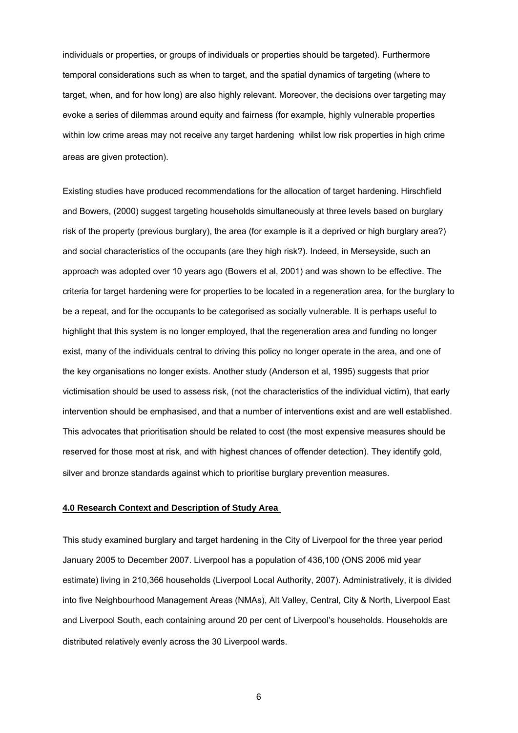individuals or properties, or groups of individuals or properties should be targeted). Furthermore temporal considerations such as when to target, and the spatial dynamics of targeting (where to target, when, and for how long) are also highly relevant. Moreover, the decisions over targeting may evoke a series of dilemmas around equity and fairness (for example, highly vulnerable properties within low crime areas may not receive any target hardening whilst low risk properties in high crime areas are given protection).

Existing studies have produced recommendations for the allocation of target hardening. Hirschfield and Bowers, (2000) suggest targeting households simultaneously at three levels based on burglary risk of the property (previous burglary), the area (for example is it a deprived or high burglary area?) and social characteristics of the occupants (are they high risk?). Indeed, in Merseyside, such an approach was adopted over 10 years ago (Bowers et al, 2001) and was shown to be effective. The criteria for target hardening were for properties to be located in a regeneration area, for the burglary to be a repeat, and for the occupants to be categorised as socially vulnerable. It is perhaps useful to highlight that this system is no longer employed, that the regeneration area and funding no longer exist, many of the individuals central to driving this policy no longer operate in the area, and one of the key organisations no longer exists. Another study (Anderson et al, 1995) suggests that prior victimisation should be used to assess risk, (not the characteristics of the individual victim), that early intervention should be emphasised, and that a number of interventions exist and are well established. This advocates that prioritisation should be related to cost (the most expensive measures should be reserved for those most at risk, and with highest chances of offender detection). They identify gold, silver and bronze standards against which to prioritise burglary prevention measures.

#### **4.0 Research Context and Description of Study Area**

This study examined burglary and target hardening in the City of Liverpool for the three year period January 2005 to December 2007. Liverpool has a population of 436,100 (ONS 2006 mid year estimate) living in 210,366 households (Liverpool Local Authority, 2007). Administratively, it is divided into five Neighbourhood Management Areas (NMAs), Alt Valley, Central, City & North, Liverpool East and Liverpool South, each containing around 20 per cent of Liverpool's households. Households are distributed relatively evenly across the 30 Liverpool wards.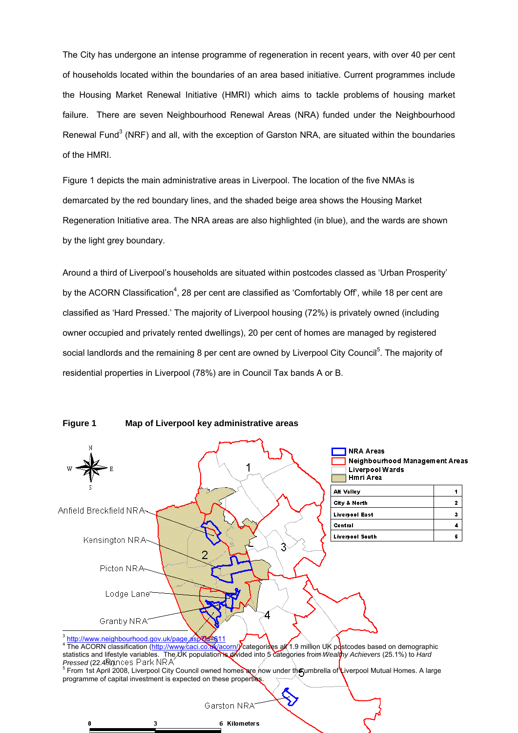The City has undergone an intense programme of regeneration in recent years, with over 40 per cent of households located within the boundaries of an area based initiative. Current programmes include the Housing Market Renewal Initiative (HMRI) which aims to tackle problems of housing market failure. There are seven Neighbourhood Renewal Areas (NRA) funded under the Neighbourhood Renewal Fund<sup>3</sup> (NRF) and all, with the exception of Garston NRA, are situated within the boundaries of the HMRI.

Figure 1 depicts the main administrative areas in Liverpool. The location of the five NMAs is demarcated by the red boundary lines, and the shaded beige area shows the Housing Market Regeneration Initiative area. The NRA areas are also highlighted (in blue), and the wards are shown by the light grey boundary.

Around a third of Liverpool's households are situated within postcodes classed as 'Urban Prosperity' by the ACORN Classification<sup>4</sup>, 28 per cent are classified as 'Comfortably Off', while 18 per cent are classified as 'Hard Pressed.' The majority of Liverpool housing (72%) is privately owned (including owner occupied and privately rented dwellings), 20 per cent of homes are managed by registered social landlords and the remaining 8 per cent are owned by Liverpool City Council<sup>5</sup>. The majority of residential properties in Liverpool (78%) are in Council Tax bands A or B.



**Figure 1 Map of Liverpool key administrative areas** 

3

n

4 The ACORN classification (http://www.caci.co.uk/acorn/) categorises all 1.9 million UK postcodes based on demographic statistics and lifestyle variables. The UK population is divided into 5 categories from *Wealthy Achievers* (25.1%) to *Hard*  Pressed (22.4%). The Park NRA And A Council owned homes are now under the umbrella of Liverpool Mutual Homes. A large and the unit of the unit of the unit of Liverpool Mutual Homes. A large

programme of capital investment is expected on these properties.

6 Kilometers

Garston NRA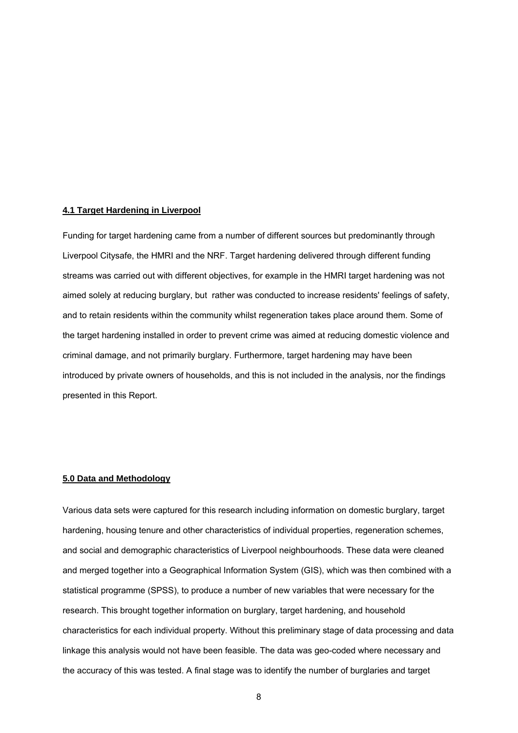#### **4.1 Target Hardening in Liverpool**

Funding for target hardening came from a number of different sources but predominantly through Liverpool Citysafe, the HMRI and the NRF. Target hardening delivered through different funding streams was carried out with different objectives, for example in the HMRI target hardening was not aimed solely at reducing burglary, but rather was conducted to increase residents' feelings of safety, and to retain residents within the community whilst regeneration takes place around them. Some of the target hardening installed in order to prevent crime was aimed at reducing domestic violence and criminal damage, and not primarily burglary. Furthermore, target hardening may have been introduced by private owners of households, and this is not included in the analysis, nor the findings presented in this Report.

#### **5.0 Data and Methodology**

Various data sets were captured for this research including information on domestic burglary, target hardening, housing tenure and other characteristics of individual properties, regeneration schemes, and social and demographic characteristics of Liverpool neighbourhoods. These data were cleaned and merged together into a Geographical Information System (GIS), which was then combined with a statistical programme (SPSS), to produce a number of new variables that were necessary for the research. This brought together information on burglary, target hardening, and household characteristics for each individual property. Without this preliminary stage of data processing and data linkage this analysis would not have been feasible. The data was geo-coded where necessary and the accuracy of this was tested. A final stage was to identify the number of burglaries and target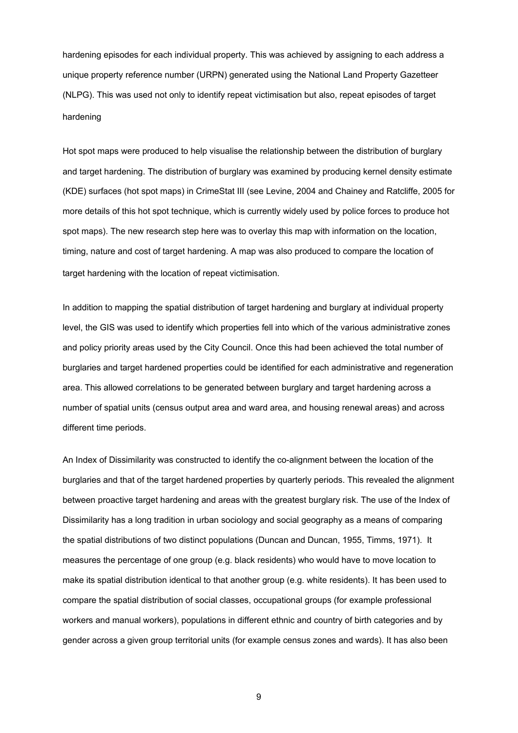hardening episodes for each individual property. This was achieved by assigning to each address a unique property reference number (URPN) generated using the National Land Property Gazetteer (NLPG). This was used not only to identify repeat victimisation but also, repeat episodes of target hardening

Hot spot maps were produced to help visualise the relationship between the distribution of burglary and target hardening. The distribution of burglary was examined by producing kernel density estimate (KDE) surfaces (hot spot maps) in CrimeStat III (see Levine, 2004 and Chainey and Ratcliffe, 2005 for more details of this hot spot technique, which is currently widely used by police forces to produce hot spot maps). The new research step here was to overlay this map with information on the location, timing, nature and cost of target hardening. A map was also produced to compare the location of target hardening with the location of repeat victimisation.

In addition to mapping the spatial distribution of target hardening and burglary at individual property level, the GIS was used to identify which properties fell into which of the various administrative zones and policy priority areas used by the City Council. Once this had been achieved the total number of burglaries and target hardened properties could be identified for each administrative and regeneration area. This allowed correlations to be generated between burglary and target hardening across a number of spatial units (census output area and ward area, and housing renewal areas) and across different time periods.

An Index of Dissimilarity was constructed to identify the co-alignment between the location of the burglaries and that of the target hardened properties by quarterly periods. This revealed the alignment between proactive target hardening and areas with the greatest burglary risk. The use of the Index of Dissimilarity has a long tradition in urban sociology and social geography as a means of comparing the spatial distributions of two distinct populations (Duncan and Duncan, 1955, Timms, 1971). It measures the percentage of one group (e.g. black residents) who would have to move location to make its spatial distribution identical to that another group (e.g. white residents). It has been used to compare the spatial distribution of social classes, occupational groups (for example professional workers and manual workers), populations in different ethnic and country of birth categories and by gender across a given group territorial units (for example census zones and wards). It has also been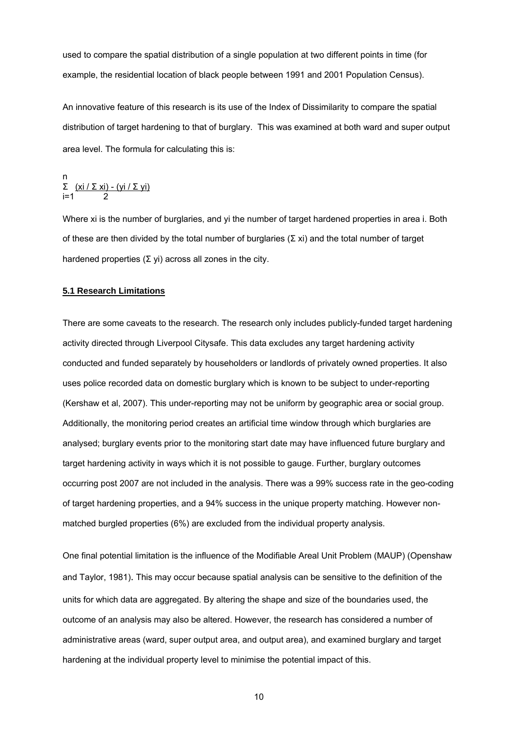used to compare the spatial distribution of a single population at two different points in time (for example, the residential location of black people between 1991 and 2001 Population Census).

An innovative feature of this research is its use of the Index of Dissimilarity to compare the spatial distribution of target hardening to that of burglary. This was examined at both ward and super output area level. The formula for calculating this is:

n  
\n
$$
\Sigma \frac{(xi / \Sigma xi) - (yi / \Sigma yi)}{2}
$$

Where xi is the number of burglaries, and yi the number of target hardened properties in area i. Both of these are then divided by the total number of burglaries ( $\Sigma$  xi) and the total number of target hardened properties (Σ yi) across all zones in the city.

#### **5.1 Research Limitations**

There are some caveats to the research. The research only includes publicly-funded target hardening activity directed through Liverpool Citysafe. This data excludes any target hardening activity conducted and funded separately by householders or landlords of privately owned properties. It also uses police recorded data on domestic burglary which is known to be subject to under-reporting (Kershaw et al, 2007). This under-reporting may not be uniform by geographic area or social group. Additionally, the monitoring period creates an artificial time window through which burglaries are analysed; burglary events prior to the monitoring start date may have influenced future burglary and target hardening activity in ways which it is not possible to gauge. Further, burglary outcomes occurring post 2007 are not included in the analysis. There was a 99% success rate in the geo-coding of target hardening properties, and a 94% success in the unique property matching. However nonmatched burgled properties (6%) are excluded from the individual property analysis.

One final potential limitation is the influence of the Modifiable Areal Unit Problem (MAUP) (Openshaw and Taylor, 1981). This may occur because spatial analysis can be sensitive to the definition of the units for which data are aggregated. By altering the shape and size of the boundaries used, the outcome of an analysis may also be altered. However, the research has considered a number of administrative areas (ward, super output area, and output area), and examined burglary and target hardening at the individual property level to minimise the potential impact of this.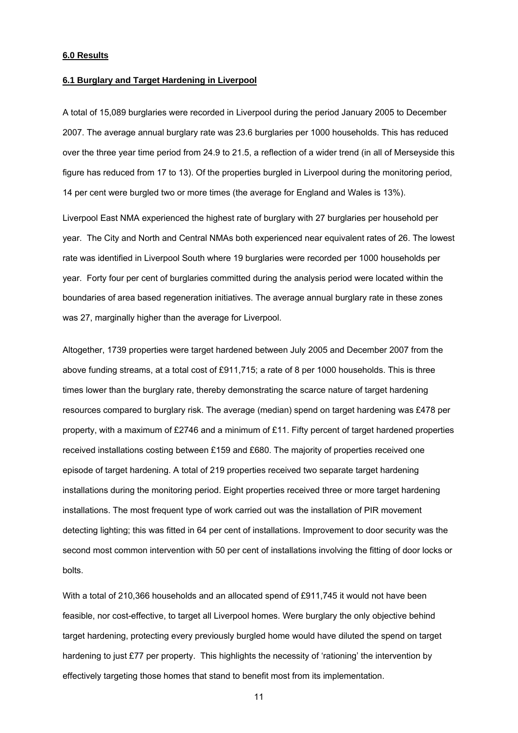### **6.0 Results**

#### **6.1 Burglary and Target Hardening in Liverpool**

A total of 15,089 burglaries were recorded in Liverpool during the period January 2005 to December 2007. The average annual burglary rate was 23.6 burglaries per 1000 households. This has reduced over the three year time period from 24.9 to 21.5, a reflection of a wider trend (in all of Merseyside this figure has reduced from 17 to 13). Of the properties burgled in Liverpool during the monitoring period, 14 per cent were burgled two or more times (the average for England and Wales is 13%).

Liverpool East NMA experienced the highest rate of burglary with 27 burglaries per household per year. The City and North and Central NMAs both experienced near equivalent rates of 26. The lowest rate was identified in Liverpool South where 19 burglaries were recorded per 1000 households per year. Forty four per cent of burglaries committed during the analysis period were located within the boundaries of area based regeneration initiatives. The average annual burglary rate in these zones was 27, marginally higher than the average for Liverpool.

Altogether, 1739 properties were target hardened between July 2005 and December 2007 from the above funding streams, at a total cost of £911,715; a rate of 8 per 1000 households. This is three times lower than the burglary rate, thereby demonstrating the scarce nature of target hardening resources compared to burglary risk. The average (median) spend on target hardening was £478 per property, with a maximum of £2746 and a minimum of £11. Fifty percent of target hardened properties received installations costing between £159 and £680. The majority of properties received one episode of target hardening. A total of 219 properties received two separate target hardening installations during the monitoring period. Eight properties received three or more target hardening installations. The most frequent type of work carried out was the installation of PIR movement detecting lighting; this was fitted in 64 per cent of installations. Improvement to door security was the second most common intervention with 50 per cent of installations involving the fitting of door locks or bolts.

With a total of 210,366 households and an allocated spend of £911,745 it would not have been feasible, nor cost-effective, to target all Liverpool homes. Were burglary the only objective behind target hardening, protecting every previously burgled home would have diluted the spend on target hardening to just £77 per property. This highlights the necessity of 'rationing' the intervention by effectively targeting those homes that stand to benefit most from its implementation.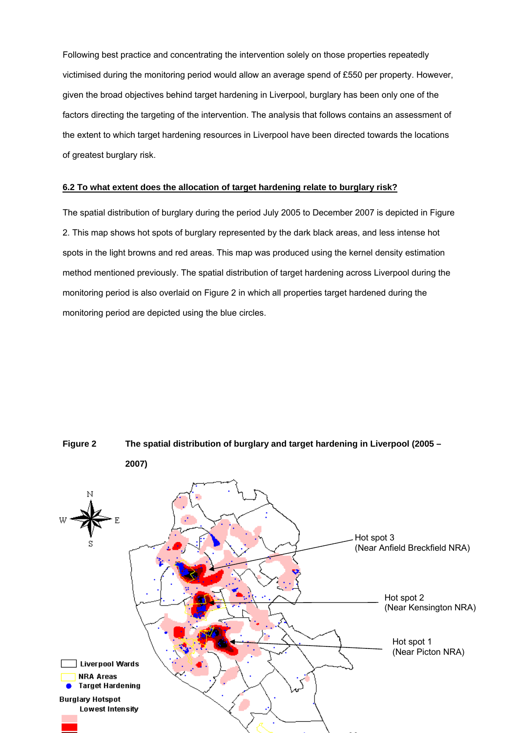Following best practice and concentrating the intervention solely on those properties repeatedly victimised during the monitoring period would allow an average spend of £550 per property. However, given the broad objectives behind target hardening in Liverpool, burglary has been only one of the factors directing the targeting of the intervention. The analysis that follows contains an assessment of the extent to which target hardening resources in Liverpool have been directed towards the locations of greatest burglary risk.

#### **6.2 To what extent does the allocation of target hardening relate to burglary risk?**

The spatial distribution of burglary during the period July 2005 to December 2007 is depicted in Figure 2. This map shows hot spots of burglary represented by the dark black areas, and less intense hot spots in the light browns and red areas. This map was produced using the kernel density estimation method mentioned previously. The spatial distribution of target hardening across Liverpool during the monitoring period is also overlaid on Figure 2 in which all properties target hardened during the monitoring period are depicted using the blue circles.

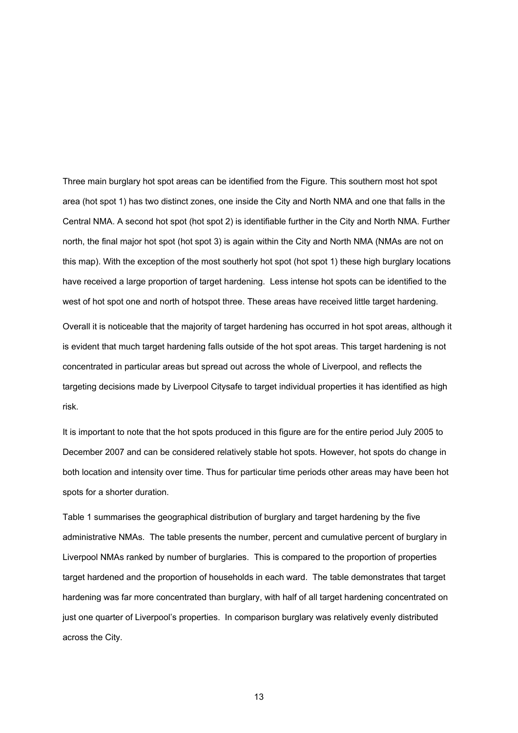Three main burglary hot spot areas can be identified from the Figure. This southern most hot spot area (hot spot 1) has two distinct zones, one inside the City and North NMA and one that falls in the Central NMA. A second hot spot (hot spot 2) is identifiable further in the City and North NMA. Further north, the final major hot spot (hot spot 3) is again within the City and North NMA (NMAs are not on this map). With the exception of the most southerly hot spot (hot spot 1) these high burglary locations have received a large proportion of target hardening. Less intense hot spots can be identified to the west of hot spot one and north of hotspot three. These areas have received little target hardening.

Overall it is noticeable that the majority of target hardening has occurred in hot spot areas, although it is evident that much target hardening falls outside of the hot spot areas. This target hardening is not concentrated in particular areas but spread out across the whole of Liverpool, and reflects the targeting decisions made by Liverpool Citysafe to target individual properties it has identified as high risk.

It is important to note that the hot spots produced in this figure are for the entire period July 2005 to December 2007 and can be considered relatively stable hot spots. However, hot spots do change in both location and intensity over time. Thus for particular time periods other areas may have been hot spots for a shorter duration.

Table 1 summarises the geographical distribution of burglary and target hardening by the five administrative NMAs. The table presents the number, percent and cumulative percent of burglary in Liverpool NMAs ranked by number of burglaries. This is compared to the proportion of properties target hardened and the proportion of households in each ward. The table demonstrates that target hardening was far more concentrated than burglary, with half of all target hardening concentrated on just one quarter of Liverpool's properties. In comparison burglary was relatively evenly distributed across the City.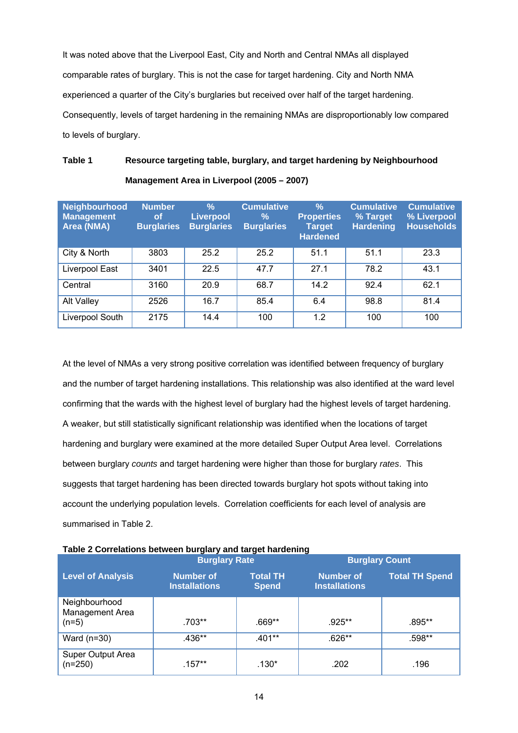It was noted above that the Liverpool East, City and North and Central NMAs all displayed comparable rates of burglary. This is not the case for target hardening. City and North NMA experienced a quarter of the City's burglaries but received over half of the target hardening. Consequently, levels of target hardening in the remaining NMAs are disproportionably low compared to levels of burglary.

# **Table 1 Resource targeting table, burglary, and target hardening by Neighbourhood Management Area in Liverpool (2005 – 2007)**

| <b>Neighbourhood</b><br><b>Management</b><br>Area (NMA) | <b>Number</b><br><b>of</b><br><b>Burglaries</b> | $\frac{9}{6}$<br><b>Liverpool</b><br><b>Burglaries</b> | <b>Cumulative</b><br>$\%$<br><b>Burglaries</b> | $\frac{9}{6}$<br><b>Properties</b><br><b>Target</b><br><b>Hardened</b> | <b>Cumulative</b><br>% Target<br><b>Hardening</b> | <b>Cumulative</b><br>% Liverpool<br><b>Households</b> |
|---------------------------------------------------------|-------------------------------------------------|--------------------------------------------------------|------------------------------------------------|------------------------------------------------------------------------|---------------------------------------------------|-------------------------------------------------------|
| City & North                                            | 3803                                            | 25.2                                                   | 25.2                                           | 51.1                                                                   | 51.1                                              | 23.3                                                  |
| Liverpool East                                          | 3401                                            | 22.5                                                   | 47.7                                           | 27.1                                                                   | 78.2                                              | 43.1                                                  |
| Central                                                 | 3160                                            | 20.9                                                   | 68.7                                           | 14.2                                                                   | 92.4                                              | 62.1                                                  |
| Alt Valley                                              | 2526                                            | 16.7                                                   | 85.4                                           | 6.4                                                                    | 98.8                                              | 81.4                                                  |
| Liverpool South                                         | 2175                                            | 14.4                                                   | 100                                            | 1.2                                                                    | 100                                               | 100                                                   |

At the level of NMAs a very strong positive correlation was identified between frequency of burglary and the number of target hardening installations. This relationship was also identified at the ward level confirming that the wards with the highest level of burglary had the highest levels of target hardening. A weaker, but still statistically significant relationship was identified when the locations of target hardening and burglary were examined at the more detailed Super Output Area level. Correlations between burglary *counts* and target hardening were higher than those for burglary *rates*. This suggests that target hardening has been directed towards burglary hot spots without taking into account the underlying population levels. Correlation coefficients for each level of analysis are summarised in Table 2.

|                                             | <b>Burglary Rate</b>                     | <u>and and complete</u>         | <b>Burglary Count</b>                    |                       |  |
|---------------------------------------------|------------------------------------------|---------------------------------|------------------------------------------|-----------------------|--|
| <b>Level of Analysis</b>                    | <b>Number of</b><br><b>Installations</b> | <b>Total TH</b><br><b>Spend</b> | <b>Number of</b><br><b>Installations</b> | <b>Total TH Spend</b> |  |
| Neighbourhood<br>Management Area<br>$(n=5)$ | $.703**$                                 | $.669**$                        | .925**                                   | .895**                |  |
| Ward $(n=30)$                               | $.436**$                                 | .401**                          | .626**                                   | .598**                |  |
| Super Output Area<br>$(n=250)$              | $.157**$                                 | .130*                           | .202                                     | .196                  |  |

## **Table 2 Correlations between burglary and target hardening**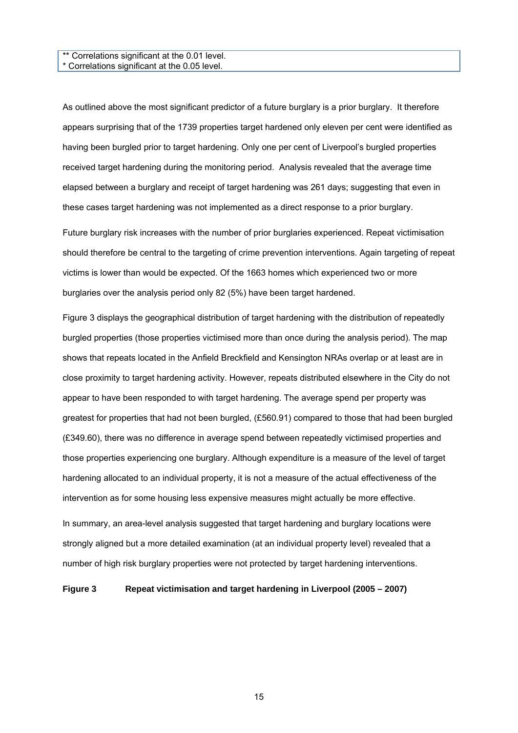#### \*\* Correlations significant at the 0.01 level. \* Correlations significant at the 0.05 level.

As outlined above the most significant predictor of a future burglary is a prior burglary. It therefore appears surprising that of the 1739 properties target hardened only eleven per cent were identified as having been burgled prior to target hardening. Only one per cent of Liverpool's burgled properties received target hardening during the monitoring period. Analysis revealed that the average time elapsed between a burglary and receipt of target hardening was 261 days; suggesting that even in these cases target hardening was not implemented as a direct response to a prior burglary.

Future burglary risk increases with the number of prior burglaries experienced. Repeat victimisation should therefore be central to the targeting of crime prevention interventions. Again targeting of repeat victims is lower than would be expected. Of the 1663 homes which experienced two or more burglaries over the analysis period only 82 (5%) have been target hardened.

Figure 3 displays the geographical distribution of target hardening with the distribution of repeatedly burgled properties (those properties victimised more than once during the analysis period). The map shows that repeats located in the Anfield Breckfield and Kensington NRAs overlap or at least are in close proximity to target hardening activity. However, repeats distributed elsewhere in the City do not appear to have been responded to with target hardening. The average spend per property was greatest for properties that had not been burgled, (£560.91) compared to those that had been burgled (£349.60), there was no difference in average spend between repeatedly victimised properties and those properties experiencing one burglary. Although expenditure is a measure of the level of target hardening allocated to an individual property, it is not a measure of the actual effectiveness of the intervention as for some housing less expensive measures might actually be more effective.

In summary, an area-level analysis suggested that target hardening and burglary locations were strongly aligned but a more detailed examination (at an individual property level) revealed that a number of high risk burglary properties were not protected by target hardening interventions.

#### **Figure 3 Repeat victimisation and target hardening in Liverpool (2005 – 2007)**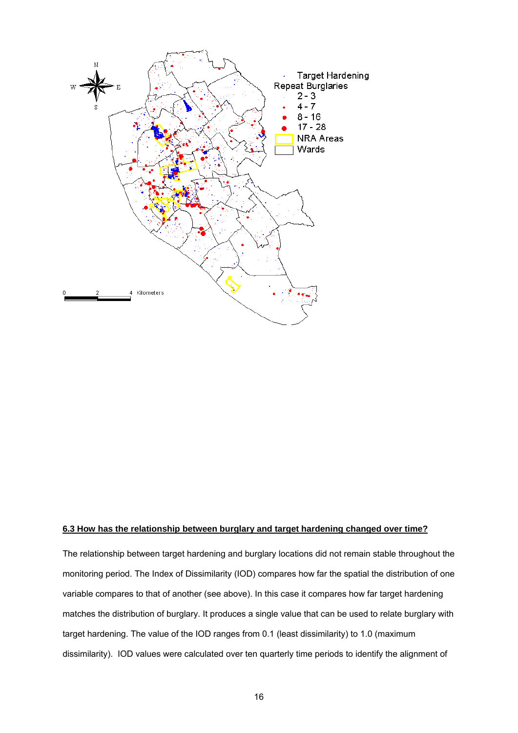

### **6.3 How has the relationship between burglary and target hardening changed over time?**

The relationship between target hardening and burglary locations did not remain stable throughout the monitoring period. The Index of Dissimilarity (IOD) compares how far the spatial the distribution of one variable compares to that of another (see above). In this case it compares how far target hardening matches the distribution of burglary. It produces a single value that can be used to relate burglary with target hardening. The value of the IOD ranges from 0.1 (least dissimilarity) to 1.0 (maximum dissimilarity). IOD values were calculated over ten quarterly time periods to identify the alignment of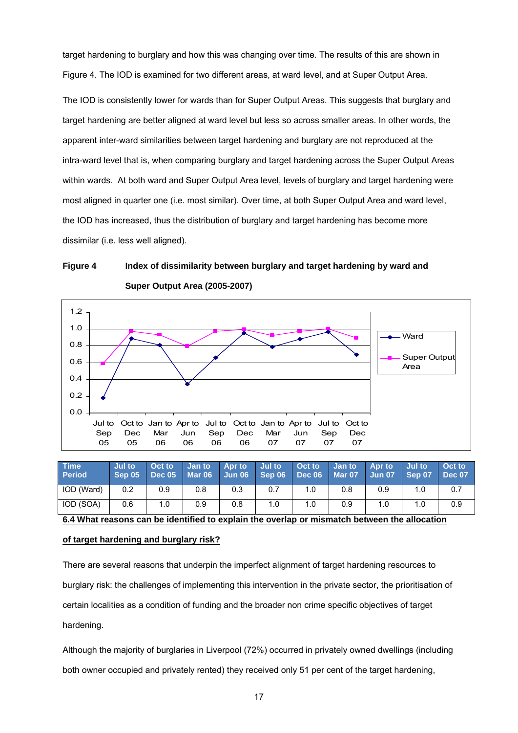target hardening to burglary and how this was changing over time. The results of this are shown in Figure 4. The IOD is examined for two different areas, at ward level, and at Super Output Area.

The IOD is consistently lower for wards than for Super Output Areas. This suggests that burglary and target hardening are better aligned at ward level but less so across smaller areas. In other words, the apparent inter-ward similarities between target hardening and burglary are not reproduced at the intra-ward level that is, when comparing burglary and target hardening across the Super Output Areas within wards. At both ward and Super Output Area level, levels of burglary and target hardening were most aligned in quarter one (i.e. most similar). Over time, at both Super Output Area and ward level, the IOD has increased, thus the distribution of burglary and target hardening has become more dissimilar (i.e. less well aligned).

## **Figure 4 Index of dissimilarity between burglary and target hardening by ward and Super Output Area (2005-2007)**



| <b>Time</b><br><b>Period</b>                                                                 | Jul to<br>Sep 05 | Oct to<br>Dec 05 | <b>Jan to</b><br>Mar 06 | Apr to<br>Jun 06 | Jul to<br>Sep 06 | Oct to<br><b>Dec 06</b> | Jan to<br><b>Mar 07</b> | Apr to<br>Jun 07 | Jul to<br>Sep 07 | Oct to<br><b>Dec 07</b> |
|----------------------------------------------------------------------------------------------|------------------|------------------|-------------------------|------------------|------------------|-------------------------|-------------------------|------------------|------------------|-------------------------|
| IOD (Ward)                                                                                   | 0.2              | 0.9              | 0.8                     | 0.3              | 0.7              | 1.0                     | 0.8                     | 0.9              | 1.0              | 0.7                     |
| IOD (SOA)                                                                                    | 0.6              | 1.0              | 0.9                     | 0.8              | 1.0              | 1.0                     | 0.9                     | 1.0              | 1.0              | 0.9                     |
| 6.4 What reasons can be identified to explain the overlap or mismatch between the allocation |                  |                  |                         |                  |                  |                         |                         |                  |                  |                         |

## **of target hardening and burglary risk?**

There are several reasons that underpin the imperfect alignment of target hardening resources to burglary risk: the challenges of implementing this intervention in the private sector, the prioritisation of certain localities as a condition of funding and the broader non crime specific objectives of target hardening.

Although the majority of burglaries in Liverpool (72%) occurred in privately owned dwellings (including both owner occupied and privately rented) they received only 51 per cent of the target hardening,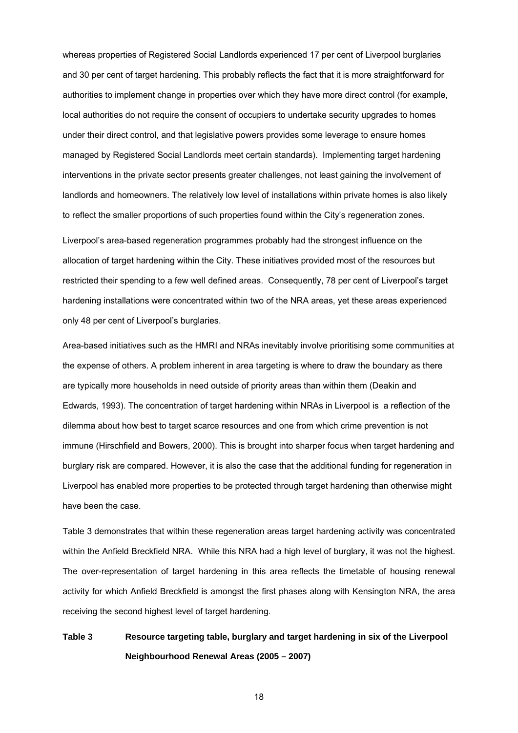whereas properties of Registered Social Landlords experienced 17 per cent of Liverpool burglaries and 30 per cent of target hardening. This probably reflects the fact that it is more straightforward for authorities to implement change in properties over which they have more direct control (for example, local authorities do not require the consent of occupiers to undertake security upgrades to homes under their direct control, and that legislative powers provides some leverage to ensure homes managed by Registered Social Landlords meet certain standards). Implementing target hardening interventions in the private sector presents greater challenges, not least gaining the involvement of landlords and homeowners. The relatively low level of installations within private homes is also likely to reflect the smaller proportions of such properties found within the City's regeneration zones.

Liverpool's area-based regeneration programmes probably had the strongest influence on the allocation of target hardening within the City. These initiatives provided most of the resources but restricted their spending to a few well defined areas. Consequently, 78 per cent of Liverpool's target hardening installations were concentrated within two of the NRA areas, yet these areas experienced only 48 per cent of Liverpool's burglaries.

Area-based initiatives such as the HMRI and NRAs inevitably involve prioritising some communities at the expense of others. A problem inherent in area targeting is where to draw the boundary as there are typically more households in need outside of priority areas than within them (Deakin and Edwards, 1993). The concentration of target hardening within NRAs in Liverpool is a reflection of the dilemma about how best to target scarce resources and one from which crime prevention is not immune (Hirschfield and Bowers, 2000). This is brought into sharper focus when target hardening and burglary risk are compared. However, it is also the case that the additional funding for regeneration in Liverpool has enabled more properties to be protected through target hardening than otherwise might have been the case.

Table 3 demonstrates that within these regeneration areas target hardening activity was concentrated within the Anfield Breckfield NRA. While this NRA had a high level of burglary, it was not the highest. The over-representation of target hardening in this area reflects the timetable of housing renewal activity for which Anfield Breckfield is amongst the first phases along with Kensington NRA, the area receiving the second highest level of target hardening.

# **Table 3 Resource targeting table, burglary and target hardening in six of the Liverpool Neighbourhood Renewal Areas (2005 – 2007)**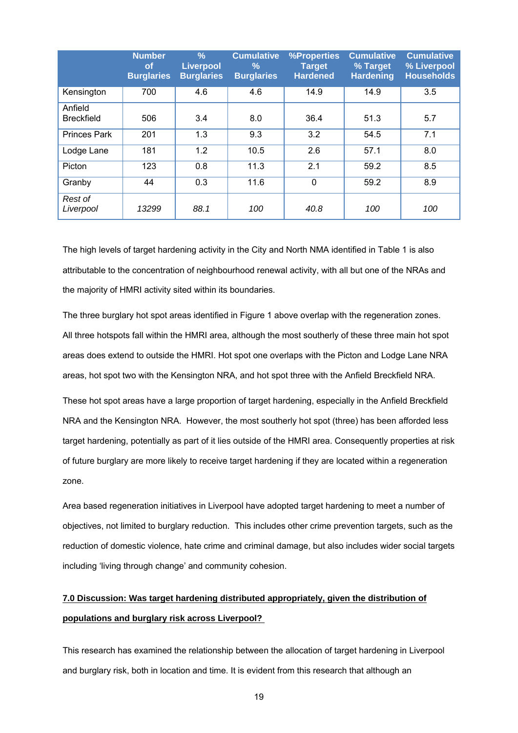|                              | <b>Number</b><br><b>of</b><br><b>Burglaries</b> | $\frac{9}{6}$<br><b>Liverpool</b><br><b>Burglaries</b> | <b>Cumulative</b><br>$\%$<br><b>Burglaries</b> | <b>%Properties</b><br><b>Target</b><br><b>Hardened</b> | <b>Cumulative</b><br>% Target<br><b>Hardening</b> | <b>Cumulative</b><br>% Liverpool<br><b>Households</b> |
|------------------------------|-------------------------------------------------|--------------------------------------------------------|------------------------------------------------|--------------------------------------------------------|---------------------------------------------------|-------------------------------------------------------|
| Kensington                   | 700                                             | 4.6                                                    | 4.6                                            | 14.9                                                   | 14.9                                              | 3.5                                                   |
| Anfield<br><b>Breckfield</b> | 506                                             | 3.4                                                    | 8.0                                            | 36.4                                                   | 51.3                                              | 5.7                                                   |
| <b>Princes Park</b>          | 201                                             | 1.3                                                    | 9.3                                            | 3.2                                                    | 54.5                                              | 7.1                                                   |
| Lodge Lane                   | 181                                             | 1.2                                                    | 10.5                                           | 2.6                                                    | 57.1                                              | 8.0                                                   |
| Picton                       | 123                                             | 0.8                                                    | 11.3                                           | 2.1                                                    | 59.2                                              | 8.5                                                   |
| Granby                       | 44                                              | 0.3                                                    | 11.6                                           | $\mathbf 0$                                            | 59.2                                              | 8.9                                                   |
| Rest of<br>Liverpool         | 13299                                           | 88.1                                                   | 100                                            | 40.8                                                   | 100                                               | 100                                                   |

The high levels of target hardening activity in the City and North NMA identified in Table 1 is also attributable to the concentration of neighbourhood renewal activity, with all but one of the NRAs and the majority of HMRI activity sited within its boundaries.

The three burglary hot spot areas identified in Figure 1 above overlap with the regeneration zones. All three hotspots fall within the HMRI area, although the most southerly of these three main hot spot areas does extend to outside the HMRI. Hot spot one overlaps with the Picton and Lodge Lane NRA areas, hot spot two with the Kensington NRA, and hot spot three with the Anfield Breckfield NRA.

These hot spot areas have a large proportion of target hardening, especially in the Anfield Breckfield NRA and the Kensington NRA. However, the most southerly hot spot (three) has been afforded less target hardening, potentially as part of it lies outside of the HMRI area. Consequently properties at risk of future burglary are more likely to receive target hardening if they are located within a regeneration zone.

Area based regeneration initiatives in Liverpool have adopted target hardening to meet a number of objectives, not limited to burglary reduction. This includes other crime prevention targets, such as the reduction of domestic violence, hate crime and criminal damage, but also includes wider social targets including 'living through change' and community cohesion.

# **7.0 Discussion: Was target hardening distributed appropriately, given the distribution of populations and burglary risk across Liverpool?**

This research has examined the relationship between the allocation of target hardening in Liverpool and burglary risk, both in location and time. It is evident from this research that although an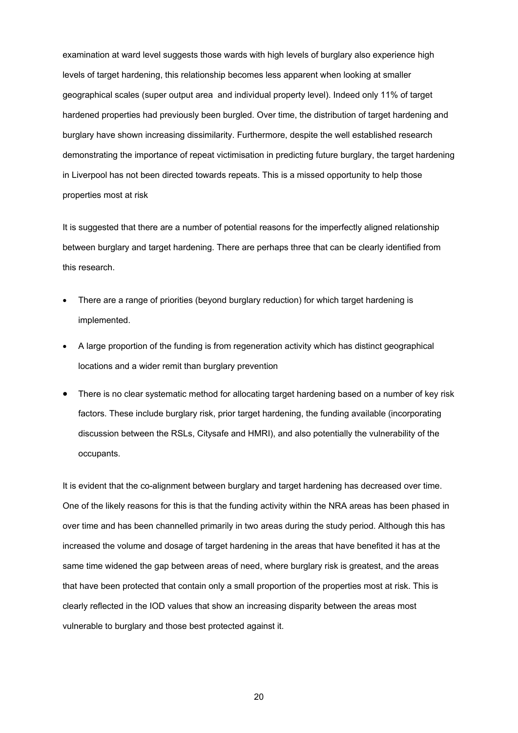examination at ward level suggests those wards with high levels of burglary also experience high levels of target hardening, this relationship becomes less apparent when looking at smaller geographical scales (super output area and individual property level). Indeed only 11% of target hardened properties had previously been burgled. Over time, the distribution of target hardening and burglary have shown increasing dissimilarity. Furthermore, despite the well established research demonstrating the importance of repeat victimisation in predicting future burglary, the target hardening in Liverpool has not been directed towards repeats. This is a missed opportunity to help those properties most at risk

It is suggested that there are a number of potential reasons for the imperfectly aligned relationship between burglary and target hardening. There are perhaps three that can be clearly identified from this research.

- There are a range of priorities (beyond burglary reduction) for which target hardening is implemented.
- A large proportion of the funding is from regeneration activity which has distinct geographical locations and a wider remit than burglary prevention
- There is no clear systematic method for allocating target hardening based on a number of key risk factors. These include burglary risk, prior target hardening, the funding available (incorporating discussion between the RSLs, Citysafe and HMRI), and also potentially the vulnerability of the occupants.

It is evident that the co-alignment between burglary and target hardening has decreased over time. One of the likely reasons for this is that the funding activity within the NRA areas has been phased in over time and has been channelled primarily in two areas during the study period. Although this has increased the volume and dosage of target hardening in the areas that have benefited it has at the same time widened the gap between areas of need, where burglary risk is greatest, and the areas that have been protected that contain only a small proportion of the properties most at risk. This is clearly reflected in the IOD values that show an increasing disparity between the areas most vulnerable to burglary and those best protected against it.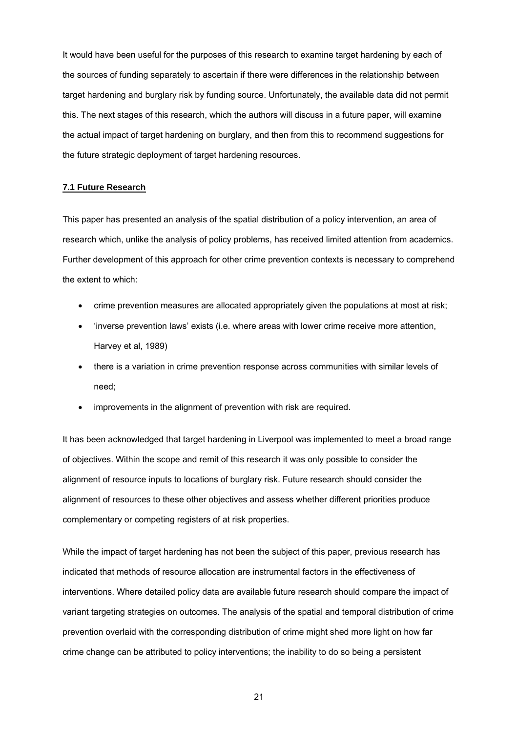It would have been useful for the purposes of this research to examine target hardening by each of the sources of funding separately to ascertain if there were differences in the relationship between target hardening and burglary risk by funding source. Unfortunately, the available data did not permit this. The next stages of this research, which the authors will discuss in a future paper, will examine the actual impact of target hardening on burglary, and then from this to recommend suggestions for the future strategic deployment of target hardening resources.

## **7.1 Future Research**

This paper has presented an analysis of the spatial distribution of a policy intervention, an area of research which, unlike the analysis of policy problems, has received limited attention from academics. Further development of this approach for other crime prevention contexts is necessary to comprehend the extent to which:

- crime prevention measures are allocated appropriately given the populations at most at risk;
- 'inverse prevention laws' exists (i.e. where areas with lower crime receive more attention, Harvey et al, 1989)
- there is a variation in crime prevention response across communities with similar levels of need;
- improvements in the alignment of prevention with risk are required.

It has been acknowledged that target hardening in Liverpool was implemented to meet a broad range of objectives. Within the scope and remit of this research it was only possible to consider the alignment of resource inputs to locations of burglary risk. Future research should consider the alignment of resources to these other objectives and assess whether different priorities produce complementary or competing registers of at risk properties.

While the impact of target hardening has not been the subject of this paper, previous research has indicated that methods of resource allocation are instrumental factors in the effectiveness of interventions. Where detailed policy data are available future research should compare the impact of variant targeting strategies on outcomes. The analysis of the spatial and temporal distribution of crime prevention overlaid with the corresponding distribution of crime might shed more light on how far crime change can be attributed to policy interventions; the inability to do so being a persistent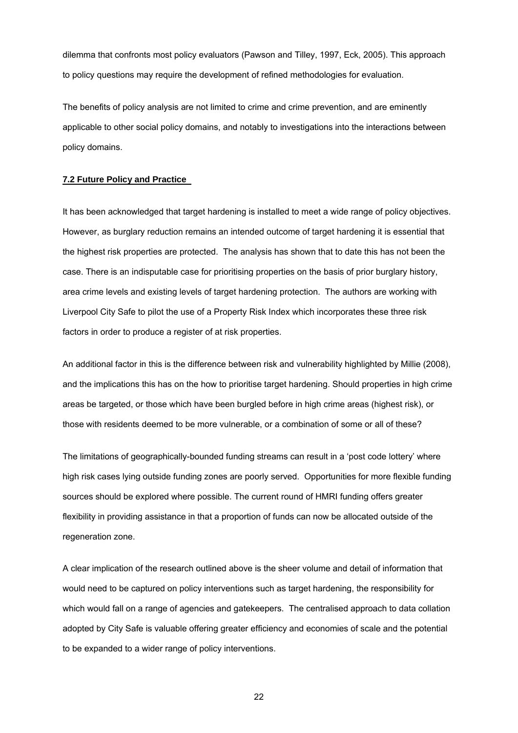dilemma that confronts most policy evaluators (Pawson and Tilley, 1997, Eck, 2005). This approach to policy questions may require the development of refined methodologies for evaluation.

The benefits of policy analysis are not limited to crime and crime prevention, and are eminently applicable to other social policy domains, and notably to investigations into the interactions between policy domains.

#### **7.2 Future Policy and Practice**

It has been acknowledged that target hardening is installed to meet a wide range of policy objectives. However, as burglary reduction remains an intended outcome of target hardening it is essential that the highest risk properties are protected. The analysis has shown that to date this has not been the case. There is an indisputable case for prioritising properties on the basis of prior burglary history, area crime levels and existing levels of target hardening protection. The authors are working with Liverpool City Safe to pilot the use of a Property Risk Index which incorporates these three risk factors in order to produce a register of at risk properties.

An additional factor in this is the difference between risk and vulnerability highlighted by Millie (2008), and the implications this has on the how to prioritise target hardening. Should properties in high crime areas be targeted, or those which have been burgled before in high crime areas (highest risk), or those with residents deemed to be more vulnerable, or a combination of some or all of these?

The limitations of geographically-bounded funding streams can result in a 'post code lottery' where high risk cases lying outside funding zones are poorly served. Opportunities for more flexible funding sources should be explored where possible. The current round of HMRI funding offers greater flexibility in providing assistance in that a proportion of funds can now be allocated outside of the regeneration zone.

A clear implication of the research outlined above is the sheer volume and detail of information that would need to be captured on policy interventions such as target hardening, the responsibility for which would fall on a range of agencies and gatekeepers. The centralised approach to data collation adopted by City Safe is valuable offering greater efficiency and economies of scale and the potential to be expanded to a wider range of policy interventions.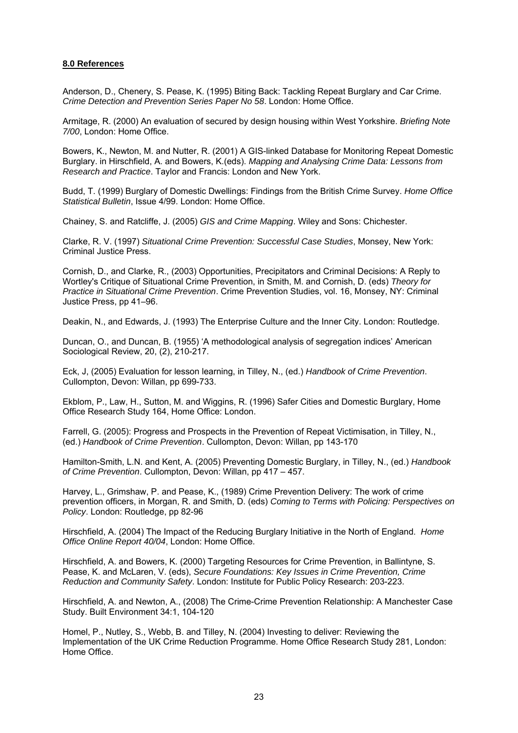## **8.0 References**

Anderson, D., Chenery, S. Pease, K. (1995) Biting Back: Tackling Repeat Burglary and Car Crime. *Crime Detection and Prevention Series Paper No 58*. London: Home Office.

Armitage, R. (2000) An evaluation of secured by design housing within West Yorkshire. *Briefing Note 7/00*, London: Home Office.

Bowers, K., Newton, M. and Nutter, R. (2001) A GIS-linked Database for Monitoring Repeat Domestic Burglary. in Hirschfield, A. and Bowers, K.(eds). *Mapping and Analysing Crime Data: Lessons from Research and Practice*. Taylor and Francis: London and New York.

Budd, T. (1999) Burglary of Domestic Dwellings: Findings from the British Crime Survey. *Home Office Statistical Bulletin*, Issue 4/99. London: Home Office.

Chainey, S. and Ratcliffe, J. (2005) *GIS and Crime Mapping*. Wiley and Sons: Chichester.

Clarke, R. V. (1997) *Situational Crime Prevention: Successful Case Studies*, Monsey, New York: Criminal Justice Press.

Cornish, D., and Clarke, R., (2003) Opportunities, Precipitators and Criminal Decisions: A Reply to Wortley's Critique of Situational Crime Prevention, in Smith, M. and Cornish, D. (eds) *Theory for Practice in Situational Crime Prevention*. Crime Prevention Studies, vol. 16, Monsey, NY: Criminal Justice Press, pp 41–96.

Deakin, N., and Edwards, J. (1993) The Enterprise Culture and the Inner City. London: Routledge.

Duncan, O., and Duncan, B. (1955) 'A methodological analysis of segregation indices' American Sociological Review, 20, (2), 210-217.

Eck, J, (2005) Evaluation for lesson learning, in Tilley, N., (ed.) *Handbook of Crime Prevention*. Cullompton, Devon: Willan, pp 699-733.

Ekblom, P., Law, H., Sutton, M. and Wiggins, R. (1996) Safer Cities and Domestic Burglary, Home Office Research Study 164, Home Office: London.

Farrell, G. (2005): Progress and Prospects in the Prevention of Repeat Victimisation, in Tilley, N., (ed.) *Handbook of Crime Prevention*. Cullompton, Devon: Willan, pp 143-170

Hamilton-Smith, L.N. and Kent, A. (2005) Preventing Domestic Burglary, in Tilley, N., (ed.) *Handbook of Crime Prevention*. Cullompton, Devon: Willan, pp 417 – 457.

Harvey, L., Grimshaw, P. and Pease, K., (1989) Crime Prevention Delivery: The work of crime prevention officers, in Morgan, R. and Smith, D. (eds) *Coming to Terms with Policing: Perspectives on Policy*. London: Routledge, pp 82-96

Hirschfield, A. (2004) The Impact of the Reducing Burglary Initiative in the North of England. *Home Office Online Report 40/04*, London: Home Office.

Hirschfield, A. and Bowers, K. (2000) Targeting Resources for Crime Prevention, in Ballintyne, S. Pease, K. and McLaren, V. (eds), *Secure Foundations: Key Issues in Crime Prevention, Crime Reduction and Community Safety*. London: Institute for Public Policy Research: 203-223.

Hirschfield, A. and Newton, A., (2008) The Crime-Crime Prevention Relationship: A Manchester Case Study. Built Environment 34:1, 104-120

Homel, P., Nutley, S., Webb, B. and Tilley, N. (2004) Investing to deliver: Reviewing the Implementation of the UK Crime Reduction Programme. Home Office Research Study 281, London: Home Office.